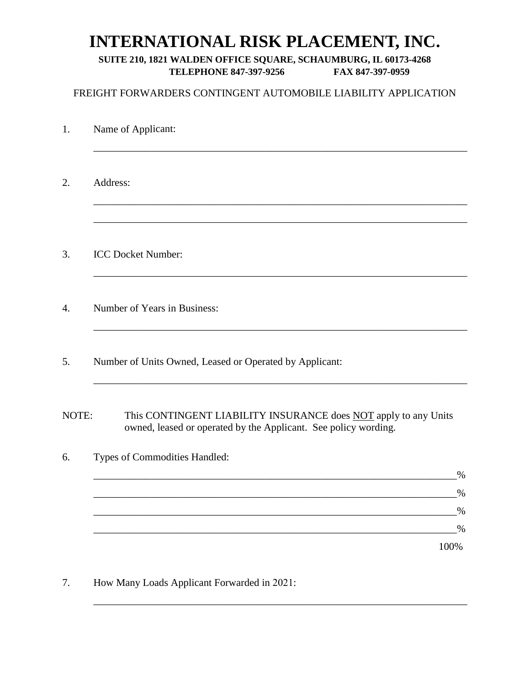# **INTERNATIONAL RISK PLACEMENT, INC.**

### **SUITE 210, 1821 WALDEN OFFICE SQUARE, SCHAUMBURG, IL 60173-4268 TELEPHONE 847-397-9256 FAX 847-397-0959**

### FREIGHT FORWARDERS CONTINGENT AUTOMOBILE LIABILITY APPLICATION

| 1.    | Name of Applicant:                                                                                                                 |
|-------|------------------------------------------------------------------------------------------------------------------------------------|
| 2.    | Address:                                                                                                                           |
| 3.    | <b>ICC Docket Number:</b>                                                                                                          |
| 4.    | Number of Years in Business:                                                                                                       |
| 5.    | Number of Units Owned, Leased or Operated by Applicant:                                                                            |
| NOTE: | This CONTINGENT LIABILITY INSURANCE does NOT apply to any Units<br>owned, leased or operated by the Applicant. See policy wording. |
| 6.    | Types of Commodities Handled:                                                                                                      |
|       | $\%$<br>$\%$                                                                                                                       |
|       | $\%$                                                                                                                               |
|       | $\%$                                                                                                                               |
|       | 100%                                                                                                                               |
|       |                                                                                                                                    |

\_\_\_\_\_\_\_\_\_\_\_\_\_\_\_\_\_\_\_\_\_\_\_\_\_\_\_\_\_\_\_\_\_\_\_\_\_\_\_\_\_\_\_\_\_\_\_\_\_\_\_\_\_\_\_\_\_\_\_\_\_\_\_\_\_\_\_\_\_\_\_\_

7. How Many Loads Applicant Forwarded in 2021: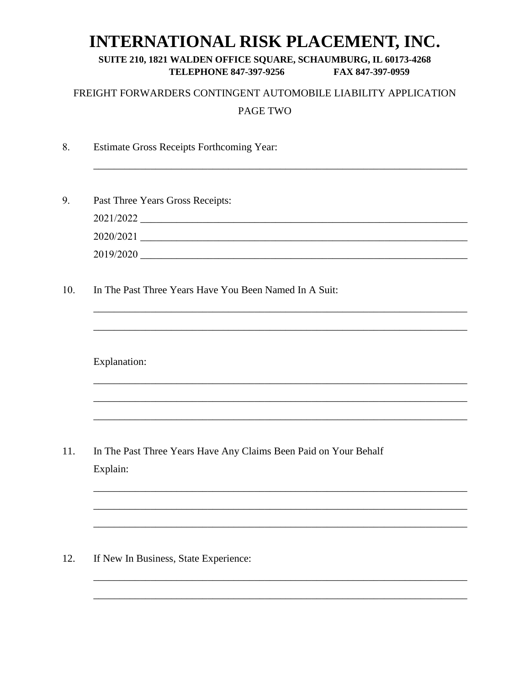# **INTERNATIONAL RISK PLACEMENT, INC.**

#### SUITE 210, 1821 WALDEN OFFICE SQUARE, SCHAUMBURG, IL 60173-4268 **TELEPHONE 847-397-9256** FAX 847-397-0959

## FREIGHT FORWARDERS CONTINGENT AUTOMOBILE LIABILITY APPLICATION PAGE TWO

- 8. **Estimate Gross Receipts Forthcoming Year:**
- 9. Past Three Years Gross Receipts:  $2020/2021$  and  $\overline{2020/2021}$ 2019/2020
- 10. In The Past Three Years Have You Been Named In A Suit:

**Explanation:** 

11. In The Past Three Years Have Any Claims Been Paid on Your Behalf Explain:

If New In Business, State Experience: 12.